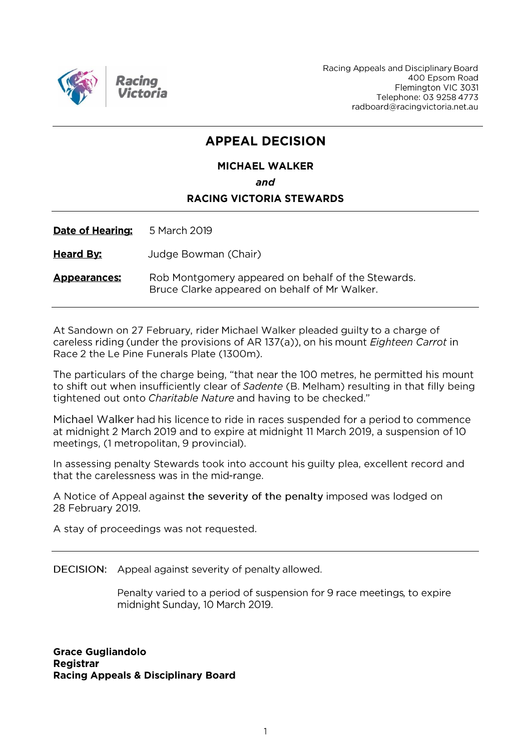

Racing Appeals and Disciplinary Board 400 Epsom Road Flemington VIC 3031 Telephone: 03 9258 4773 radboard@racingvictoria.net.au

# **APPEAL DECISION**

### **MICHAEL WALKER**

and

## **RACING VICTORIA STEWARDS**

Date of Hearing: 5 March 2019

**Heard By:** Judge Bowman (Chair)

Rob Montgomery appeared on behalf of the Stewards. **Appearances:** Bruce Clarke appeared on behalf of Mr Walker.

At Sandown on 27 February, rider Michael Walker pleaded guilty to a charge of careless riding (under the provisions of AR 137(a)), on his mount *Eighteen Carrot* in Race 2 the Le Pine Funerals Plate (1300m).

The particulars of the charge being, "that near the 100 metres, he permitted his mount to shift out when insufficiently clear of Sadente (B. Melham) resulting in that filly being tightened out onto Charitable Nature and having to be checked."

Michael Walker had his licence to ride in races suspended for a period to commence at midnight 2 March 2019 and to expire at midnight 11 March 2019, a suspension of 10 meetings, (1 metropolitan, 9 provincial).

In assessing penalty Stewards took into account his guilty plea, excellent record and that the carelessness was in the mid-range.

A Notice of Appeal against the severity of the penalty imposed was lodged on 28 February 2019.

A stay of proceedings was not requested.

DECISION: Appeal against severity of penalty allowed.

Penalty varied to a period of suspension for 9 race meetings, to expire midnight Sunday, 10 March 2019.

**Grace Gugliandolo** Registrar **Racing Appeals & Disciplinary Board**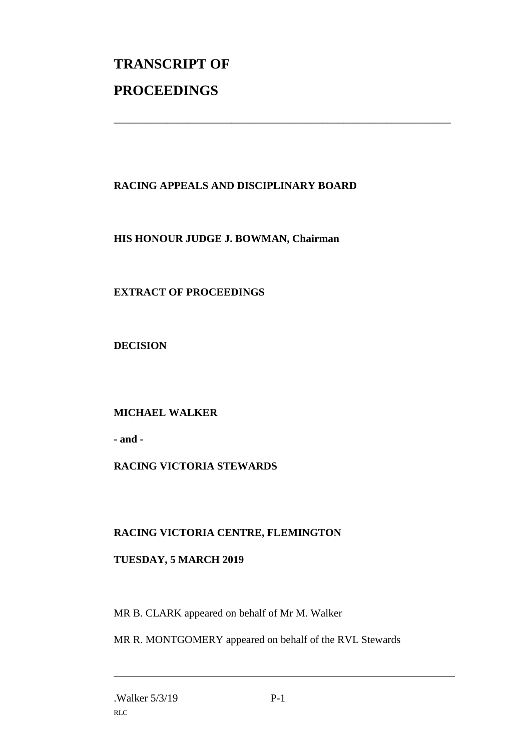# **TRANSCRIPT OF PROCEEDINGS**

# **RACING APPEALS AND DISCIPLINARY BOARD**

\_\_\_\_\_\_\_\_\_\_\_\_\_\_\_\_\_\_\_\_\_\_\_\_\_\_\_\_\_\_\_\_\_\_\_\_\_\_\_\_\_\_\_\_\_\_\_\_\_\_\_\_\_\_\_\_\_\_\_\_\_\_\_

#### **HIS HONOUR JUDGE J. BOWMAN, Chairman**

### **EXTRACT OF PROCEEDINGS**

**DECISION**

### **MICHAEL WALKER**

**- and -**

### **RACING VICTORIA STEWARDS**

#### **RACING VICTORIA CENTRE, FLEMINGTON**

#### **TUESDAY, 5 MARCH 2019**

MR B. CLARK appeared on behalf of Mr M. Walker

MR R. MONTGOMERY appeared on behalf of the RVL Stewards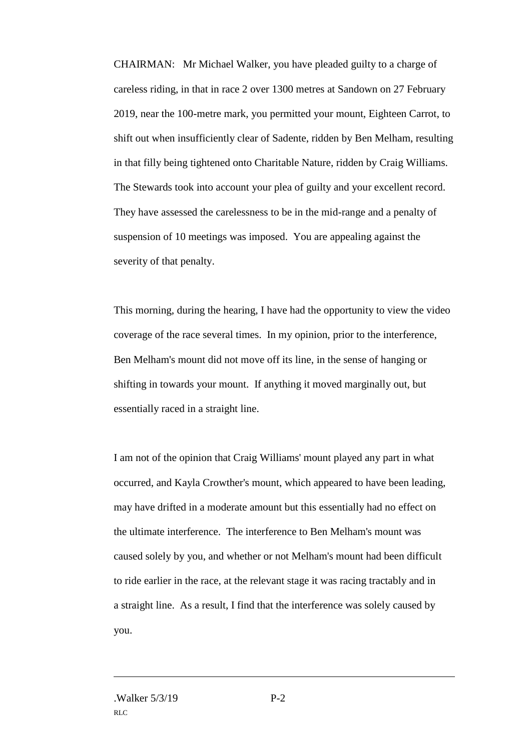CHAIRMAN: Mr Michael Walker, you have pleaded guilty to a charge of careless riding, in that in race 2 over 1300 metres at Sandown on 27 February 2019, near the 100-metre mark, you permitted your mount, Eighteen Carrot, to shift out when insufficiently clear of Sadente, ridden by Ben Melham, resulting in that filly being tightened onto Charitable Nature, ridden by Craig Williams. The Stewards took into account your plea of guilty and your excellent record. They have assessed the carelessness to be in the mid-range and a penalty of suspension of 10 meetings was imposed. You are appealing against the severity of that penalty.

This morning, during the hearing, I have had the opportunity to view the video coverage of the race several times. In my opinion, prior to the interference, Ben Melham's mount did not move off its line, in the sense of hanging or shifting in towards your mount. If anything it moved marginally out, but essentially raced in a straight line.

I am not of the opinion that Craig Williams' mount played any part in what occurred, and Kayla Crowther's mount, which appeared to have been leading, may have drifted in a moderate amount but this essentially had no effect on the ultimate interference. The interference to Ben Melham's mount was caused solely by you, and whether or not Melham's mount had been difficult to ride earlier in the race, at the relevant stage it was racing tractably and in a straight line. As a result, I find that the interference was solely caused by you.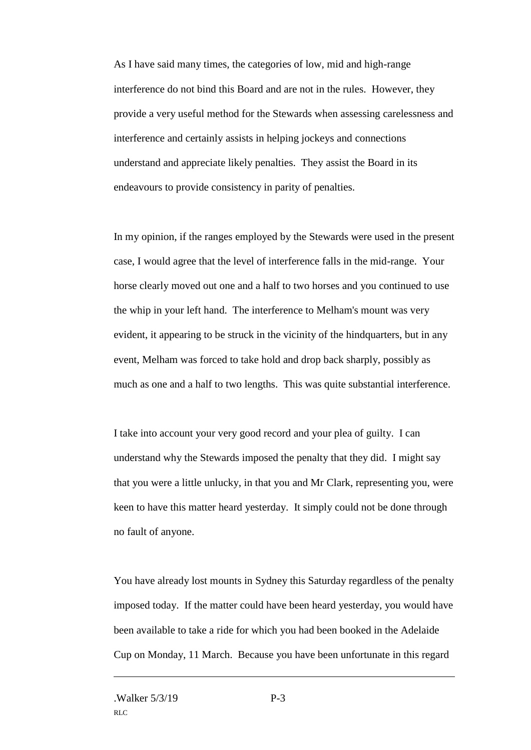As I have said many times, the categories of low, mid and high-range interference do not bind this Board and are not in the rules. However, they provide a very useful method for the Stewards when assessing carelessness and interference and certainly assists in helping jockeys and connections understand and appreciate likely penalties. They assist the Board in its endeavours to provide consistency in parity of penalties.

In my opinion, if the ranges employed by the Stewards were used in the present case, I would agree that the level of interference falls in the mid-range. Your horse clearly moved out one and a half to two horses and you continued to use the whip in your left hand. The interference to Melham's mount was very evident, it appearing to be struck in the vicinity of the hindquarters, but in any event, Melham was forced to take hold and drop back sharply, possibly as much as one and a half to two lengths. This was quite substantial interference.

I take into account your very good record and your plea of guilty. I can understand why the Stewards imposed the penalty that they did. I might say that you were a little unlucky, in that you and Mr Clark, representing you, were keen to have this matter heard yesterday. It simply could not be done through no fault of anyone.

You have already lost mounts in Sydney this Saturday regardless of the penalty imposed today. If the matter could have been heard yesterday, you would have been available to take a ride for which you had been booked in the Adelaide Cup on Monday, 11 March. Because you have been unfortunate in this regard